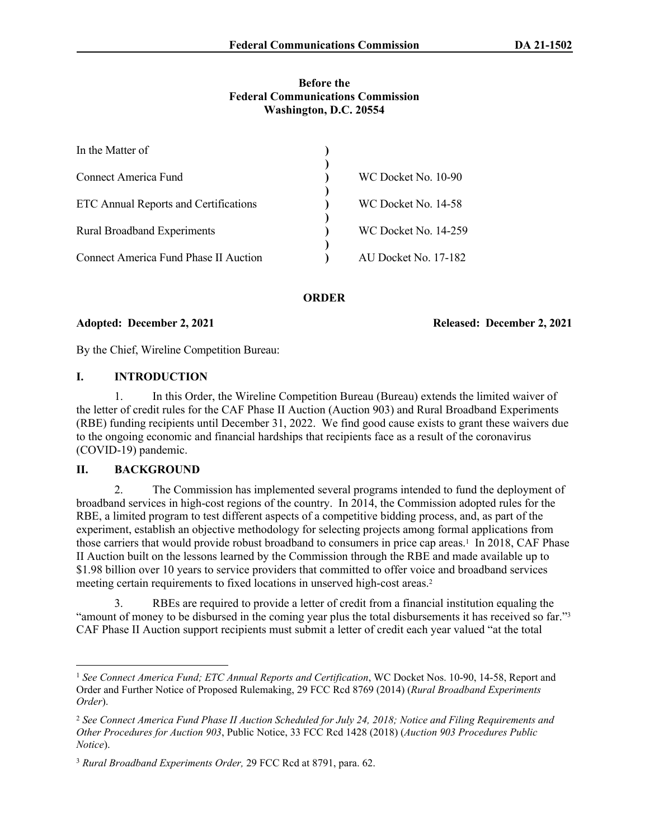### **Before the Federal Communications Commission Washington, D.C. 20554**

| In the Matter of                      |                      |
|---------------------------------------|----------------------|
| <b>Connect America Fund</b>           | WC Docket No. 10-90  |
| ETC Annual Reports and Certifications | WC Docket No. 14-58  |
| <b>Rural Broadband Experiments</b>    | WC Docket No. 14-259 |
| Connect America Fund Phase II Auction | AU Docket No. 17-182 |

**ORDER**

**Adopted: December 2, 2021 Released: December 2, 2021**

By the Chief, Wireline Competition Bureau:

# **I. INTRODUCTION**

1. In this Order, the Wireline Competition Bureau (Bureau) extends the limited waiver of the letter of credit rules for the CAF Phase II Auction (Auction 903) and Rural Broadband Experiments (RBE) funding recipients until December 31, 2022. We find good cause exists to grant these waivers due to the ongoing economic and financial hardships that recipients face as a result of the coronavirus (COVID-19) pandemic.

# **II. BACKGROUND**

2. The Commission has implemented several programs intended to fund the deployment of broadband services in high-cost regions of the country. In 2014, the Commission adopted rules for the RBE, a limited program to test different aspects of a competitive bidding process, and, as part of the experiment, establish an objective methodology for selecting projects among formal applications from those carriers that would provide robust broadband to consumers in price cap areas.<sup>1</sup> In 2018, CAF Phase II Auction built on the lessons learned by the Commission through the RBE and made available up to \$1.98 billion over 10 years to service providers that committed to offer voice and broadband services meeting certain requirements to fixed locations in unserved high-cost areas.<sup>2</sup>

3. RBEs are required to provide a letter of credit from a financial institution equaling the "amount of money to be disbursed in the coming year plus the total disbursements it has received so far."<sup>3</sup> CAF Phase II Auction support recipients must submit a letter of credit each year valued "at the total

<sup>1</sup> *See Connect America Fund; ETC Annual Reports and Certification*, WC Docket Nos. 10-90, 14-58, Report and Order and Further Notice of Proposed Rulemaking, 29 FCC Rcd 8769 (2014) (*Rural Broadband Experiments Order*).

<sup>2</sup> *See Connect America Fund Phase II Auction Scheduled for July 24, 2018; Notice and Filing Requirements and Other Procedures for Auction 903*, Public Notice, 33 FCC Rcd 1428 (2018) (*Auction 903 Procedures Public Notice*).

<sup>3</sup> *Rural Broadband Experiments Order,* 29 FCC Rcd at 8791, para. 62.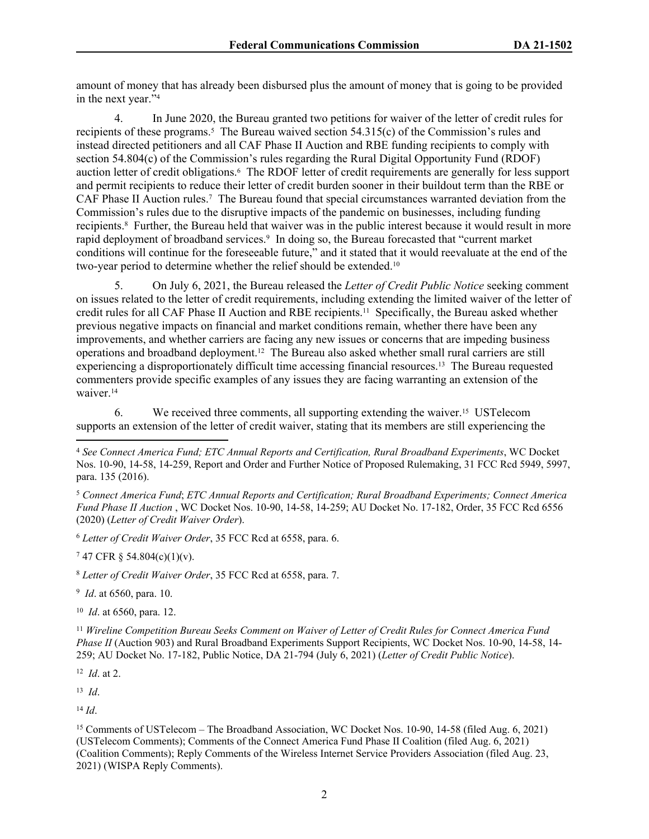amount of money that has already been disbursed plus the amount of money that is going to be provided in the next year."<sup>4</sup>

4. In June 2020, the Bureau granted two petitions for waiver of the letter of credit rules for recipients of these programs.<sup>5</sup> The Bureau waived section 54.315(c) of the Commission's rules and instead directed petitioners and all CAF Phase II Auction and RBE funding recipients to comply with section 54.804(c) of the Commission's rules regarding the Rural Digital Opportunity Fund (RDOF) auction letter of credit obligations.<sup>6</sup> The RDOF letter of credit requirements are generally for less support and permit recipients to reduce their letter of credit burden sooner in their buildout term than the RBE or CAF Phase II Auction rules.<sup>7</sup> The Bureau found that special circumstances warranted deviation from the Commission's rules due to the disruptive impacts of the pandemic on businesses, including funding recipients.<sup>8</sup> Further, the Bureau held that waiver was in the public interest because it would result in more rapid deployment of broadband services.<sup>9</sup> In doing so, the Bureau forecasted that "current market conditions will continue for the foreseeable future," and it stated that it would reevaluate at the end of the two-year period to determine whether the relief should be extended.<sup>10</sup>

5. On July 6, 2021, the Bureau released the *Letter of Credit Public Notice* seeking comment on issues related to the letter of credit requirements, including extending the limited waiver of the letter of credit rules for all CAF Phase II Auction and RBE recipients.11 Specifically, the Bureau asked whether previous negative impacts on financial and market conditions remain, whether there have been any improvements, and whether carriers are facing any new issues or concerns that are impeding business operations and broadband deployment.12 The Bureau also asked whether small rural carriers are still experiencing a disproportionately difficult time accessing financial resources.13 The Bureau requested commenters provide specific examples of any issues they are facing warranting an extension of the waiver.<sup>14</sup>

6. We received three comments, all supporting extending the waiver.15 USTelecom supports an extension of the letter of credit waiver, stating that its members are still experiencing the

<sup>5</sup> *Connect America Fund*; *ETC Annual Reports and Certification; Rural Broadband Experiments; Connect America Fund Phase II Auction* , WC Docket Nos. 10-90, 14-58, 14-259; AU Docket No. 17-182, Order, 35 FCC Rcd 6556 (2020) (*Letter of Credit Waiver Order*).

<sup>6</sup> *Letter of Credit Waiver Order*, 35 FCC Rcd at 6558, para. 6.

7 47 CFR § 54.804(c)(1)(v).

<sup>8</sup> *Letter of Credit Waiver Order*, 35 FCC Rcd at 6558, para. 7.

9 *Id*. at 6560, para. 10.

10 *Id*. at 6560, para. 12.

<sup>11</sup> *Wireline Competition Bureau Seeks Comment on Waiver of Letter of Credit Rules for Connect America Fund Phase II* (Auction 903) and Rural Broadband Experiments Support Recipients, WC Docket Nos. 10-90, 14-58, 14- 259; AU Docket No. 17-182, Public Notice, DA 21-794 (July 6, 2021) (*Letter of Credit Public Notice*).

12 *Id*. at 2.

13 *Id*.

<sup>14</sup> *Id*.

<sup>15</sup> Comments of USTelecom – The Broadband Association, WC Docket Nos. 10-90, 14-58 (filed Aug. 6, 2021) (USTelecom Comments); Comments of the Connect America Fund Phase II Coalition (filed Aug. 6, 2021) (Coalition Comments); Reply Comments of the Wireless Internet Service Providers Association (filed Aug. 23, 2021) (WISPA Reply Comments).

<sup>4</sup> *See Connect America Fund; ETC Annual Reports and Certification, Rural Broadband Experiments*, WC Docket Nos. 10-90, 14-58, 14-259, Report and Order and Further Notice of Proposed Rulemaking, 31 FCC Rcd 5949, 5997, para. 135 (2016).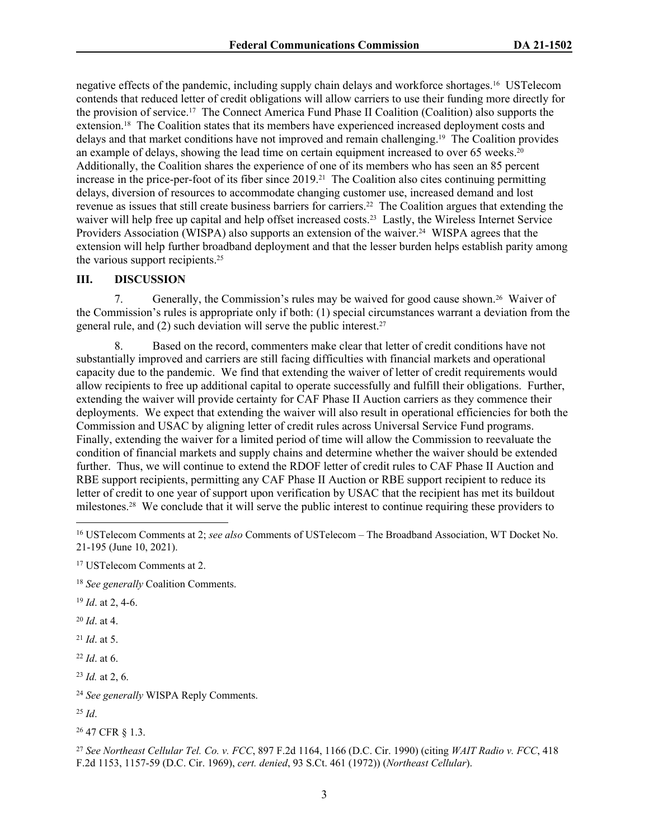negative effects of the pandemic, including supply chain delays and workforce shortages.16 USTelecom contends that reduced letter of credit obligations will allow carriers to use their funding more directly for the provision of service.17 The Connect America Fund Phase II Coalition (Coalition) also supports the extension.18 The Coalition states that its members have experienced increased deployment costs and delays and that market conditions have not improved and remain challenging.19 The Coalition provides an example of delays, showing the lead time on certain equipment increased to over 65 weeks.<sup>20</sup> Additionally, the Coalition shares the experience of one of its members who has seen an 85 percent increase in the price-per-foot of its fiber since 2019.21 The Coalition also cites continuing permitting delays, diversion of resources to accommodate changing customer use, increased demand and lost revenue as issues that still create business barriers for carriers.22 The Coalition argues that extending the waiver will help free up capital and help offset increased costs.<sup>23</sup> Lastly, the Wireless Internet Service Providers Association (WISPA) also supports an extension of the waiver.<sup>24</sup> WISPA agrees that the extension will help further broadband deployment and that the lesser burden helps establish parity among the various support recipients.<sup>25</sup>

## **III. DISCUSSION**

7. Generally, the Commission's rules may be waived for good cause shown.26 Waiver of the Commission's rules is appropriate only if both: (1) special circumstances warrant a deviation from the general rule, and (2) such deviation will serve the public interest.<sup>27</sup>

8. Based on the record, commenters make clear that letter of credit conditions have not substantially improved and carriers are still facing difficulties with financial markets and operational capacity due to the pandemic. We find that extending the waiver of letter of credit requirements would allow recipients to free up additional capital to operate successfully and fulfill their obligations. Further, extending the waiver will provide certainty for CAF Phase II Auction carriers as they commence their deployments. We expect that extending the waiver will also result in operational efficiencies for both the Commission and USAC by aligning letter of credit rules across Universal Service Fund programs. Finally, extending the waiver for a limited period of time will allow the Commission to reevaluate the condition of financial markets and supply chains and determine whether the waiver should be extended further. Thus, we will continue to extend the RDOF letter of credit rules to CAF Phase II Auction and RBE support recipients, permitting any CAF Phase II Auction or RBE support recipient to reduce its letter of credit to one year of support upon verification by USAC that the recipient has met its buildout milestones.28 We conclude that it will serve the public interest to continue requiring these providers to

<sup>18</sup> *See generally* Coalition Comments.

<sup>19</sup> *Id*. at 2, 4-6.

<sup>20</sup> *Id*. at 4.

<sup>21</sup> *Id*. at 5.

<sup>22</sup> *Id*. at 6.

<sup>23</sup> *Id.* at 2, 6.

<sup>24</sup> *See generally* WISPA Reply Comments.

<sup>25</sup> *Id*.

<sup>26</sup> 47 CFR § 1.3.

<sup>27</sup> *See Northeast Cellular Tel. Co. v. FCC*, 897 F.2d 1164, 1166 (D.C. Cir. 1990) (citing *WAIT Radio v. FCC*, 418 F.2d 1153, 1157-59 (D.C. Cir. 1969), *cert. denied*, 93 S.Ct. 461 (1972)) (*Northeast Cellular*).

<sup>16</sup> USTelecom Comments at 2; *see also* Comments of USTelecom – The Broadband Association, WT Docket No. 21-195 (June 10, 2021).

<sup>17</sup> USTelecom Comments at 2.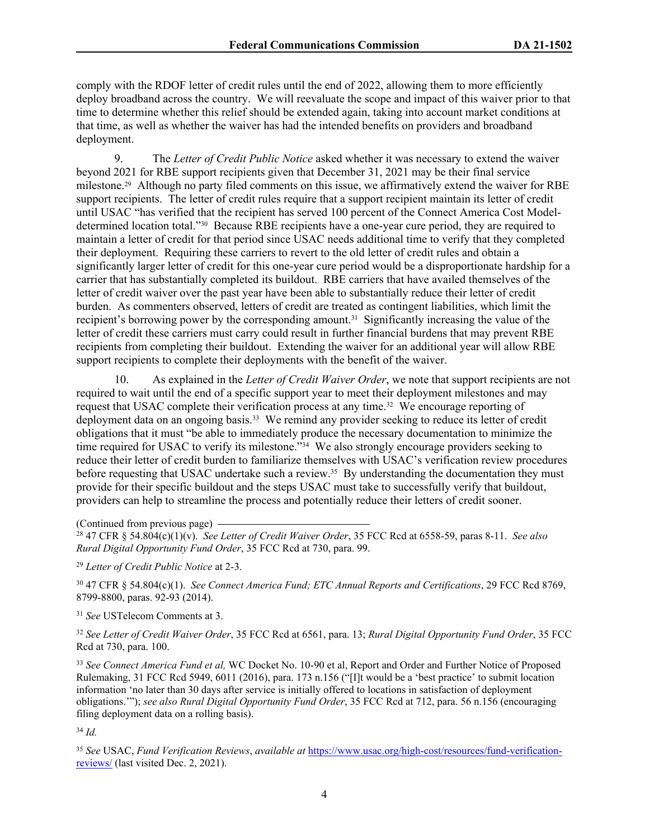comply with the RDOF letter of credit rules until the end of 2022, allowing them to more efficiently deploy broadband across the country. We will reevaluate the scope and impact of this waiver prior to that time to determine whether this relief should be extended again, taking into account market conditions at that time, as well as whether the waiver has had the intended benefits on providers and broadband deployment.

9. The *Letter of Credit Public Notice* asked whether it was necessary to extend the waiver beyond 2021 for RBE support recipients given that December 31, 2021 may be their final service milestone.29 Although no party filed comments on this issue, we affirmatively extend the waiver for RBE support recipients. The letter of credit rules require that a support recipient maintain its letter of credit until USAC "has verified that the recipient has served 100 percent of the Connect America Cost Modeldetermined location total."30 Because RBE recipients have a one-year cure period, they are required to maintain a letter of credit for that period since USAC needs additional time to verify that they completed their deployment. Requiring these carriers to revert to the old letter of credit rules and obtain a significantly larger letter of credit for this one-year cure period would be a disproportionate hardship for a carrier that has substantially completed its buildout. RBE carriers that have availed themselves of the letter of credit waiver over the past year have been able to substantially reduce their letter of credit burden. As commenters observed, letters of credit are treated as contingent liabilities, which limit the recipient's borrowing power by the corresponding amount.31 Significantly increasing the value of the letter of credit these carriers must carry could result in further financial burdens that may prevent RBE recipients from completing their buildout. Extending the waiver for an additional year will allow RBE support recipients to complete their deployments with the benefit of the waiver.

10. As explained in the *Letter of Credit Waiver Order*, we note that support recipients are not required to wait until the end of a specific support year to meet their deployment milestones and may request that USAC complete their verification process at any time.32 We encourage reporting of deployment data on an ongoing basis.<sup>33</sup> We remind any provider seeking to reduce its letter of credit obligations that it must "be able to immediately produce the necessary documentation to minimize the time required for USAC to verify its milestone."34 We also strongly encourage providers seeking to reduce their letter of credit burden to familiarize themselves with USAC's verification review procedures before requesting that USAC undertake such a review.<sup>35</sup> By understanding the documentation they must provide for their specific buildout and the steps USAC must take to successfully verify that buildout, providers can help to streamline the process and potentially reduce their letters of credit sooner.

(Continued from previous page)

<sup>28</sup> 47 CFR § 54.804(c)(1)(v). *See Letter of Credit Waiver Order*, 35 FCC Rcd at 6558-59, paras 8-11. *See also Rural Digital Opportunity Fund Order*, 35 FCC Rcd at 730, para. 99.

<sup>29</sup> *Letter of Credit Public Notice* at 2-3.

<sup>30</sup> 47 CFR § 54.804(c)(1). *See Connect America Fund; ETC Annual Reports and Certifications*, 29 FCC Rcd 8769, 8799-8800, paras. 92-93 (2014).

<sup>31</sup> *See* USTelecom Comments at 3.

<sup>32</sup> *See Letter of Credit Waiver Order*, 35 FCC Rcd at 6561, para. 13; *Rural Digital Opportunity Fund Order*, 35 FCC Rcd at 730, para. 100.

<sup>33</sup> *See Connect America Fund et al,* WC Docket No. 10-90 et al, Report and Order and Further Notice of Proposed Rulemaking, 31 FCC Rcd 5949, 6011 (2016), para. 173 n.156 ("[I]t would be a 'best practice' to submit location information 'no later than 30 days after service is initially offered to locations in satisfaction of deployment obligations.'"); *see also Rural Digital Opportunity Fund Order*, 35 FCC Rcd at 712, para. 56 n.156 (encouraging filing deployment data on a rolling basis).

<sup>34</sup> *Id.*

<sup>35</sup> *See* USAC, *Fund Verification Reviews*, *available at* [https://www.usac.org/high-cost/resources/fund-verification](https://www.usac.org/high-cost/resources/fund-verification-reviews/)[reviews/](https://www.usac.org/high-cost/resources/fund-verification-reviews/) (last visited Dec. 2, 2021).